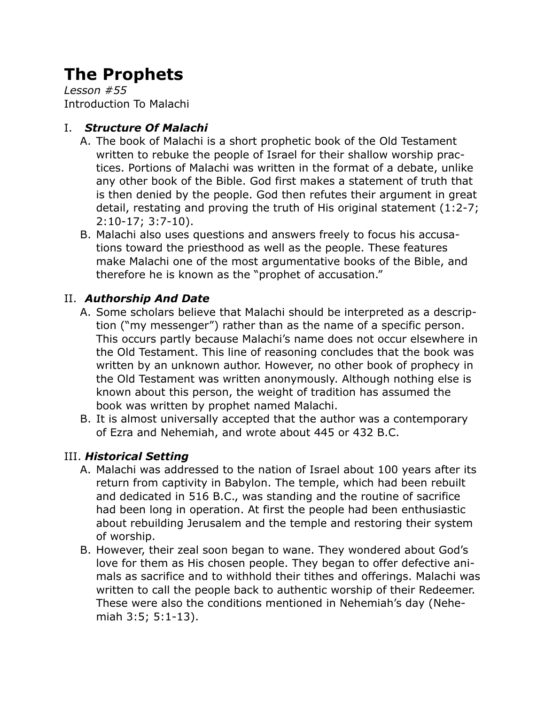# **The Prophets**

*Lesson #55* Introduction To Malachi

## I. *Structure Of Malachi*

- A. The book of Malachi is a short prophetic book of the Old Testament written to rebuke the people of Israel for their shallow worship practices. Portions of Malachi was written in the format of a debate, unlike any other book of the Bible. God first makes a statement of truth that is then denied by the people. God then refutes their argument in great detail, restating and proving the truth of His original statement (1:2-7; 2:10-17; 3:7-10).
- B. Malachi also uses questions and answers freely to focus his accusations toward the priesthood as well as the people. These features make Malachi one of the most argumentative books of the Bible, and therefore he is known as the "prophet of accusation."

### II. *Authorship And Date*

- A. Some scholars believe that Malachi should be interpreted as a description ("my messenger") rather than as the name of a specific person. This occurs partly because Malachi's name does not occur elsewhere in the Old Testament. This line of reasoning concludes that the book was written by an unknown author. However, no other book of prophecy in the Old Testament was written anonymously. Although nothing else is known about this person, the weight of tradition has assumed the book was written by prophet named Malachi.
- B. It is almost universally accepted that the author was a contemporary of Ezra and Nehemiah, and wrote about 445 or 432 B.C.

### III. *Historical Setting*

- A. Malachi was addressed to the nation of Israel about 100 years after its return from captivity in Babylon. The temple, which had been rebuilt and dedicated in 516 B.C., was standing and the routine of sacrifice had been long in operation. At first the people had been enthusiastic about rebuilding Jerusalem and the temple and restoring their system of worship.
- B. However, their zeal soon began to wane. They wondered about God's love for them as His chosen people. They began to offer defective animals as sacrifice and to withhold their tithes and offerings. Malachi was written to call the people back to authentic worship of their Redeemer. These were also the conditions mentioned in Nehemiah's day (Nehemiah 3:5; 5:1-13).